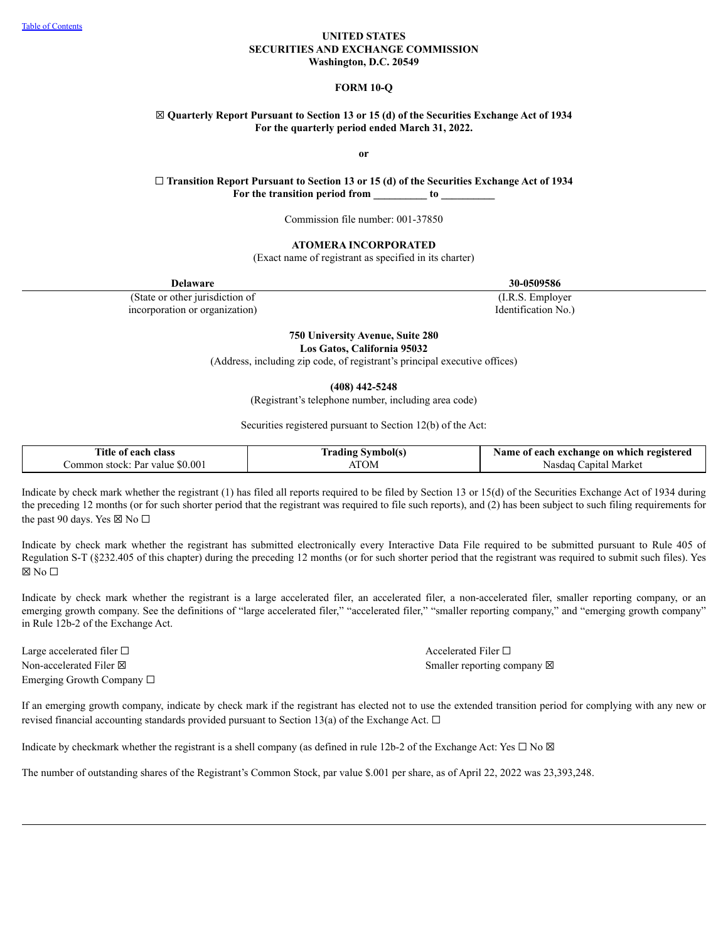#### **UNITED STATES SECURITIES AND EXCHANGE COMMISSION Washington, D.C. 20549**

#### **FORM 10-Q**

## ☒ **Quarterly Report Pursuant to Section 13 or 15 (d) of the Securities Exchange Act of 1934 For the quarterly period ended March 31, 2022.**

**or**

☐ **Transition Report Pursuant to Section 13 or 15 (d) of the Securities Exchange Act of 1934 For the transition period from \_\_\_\_\_\_\_\_\_\_ to \_\_\_\_\_\_\_\_\_\_**

Commission file number: 001-37850

# **ATOMERA INCORPORATED**

(Exact name of registrant as specified in its charter)

| <b>Delaware</b>                 | 30-0509586          |
|---------------------------------|---------------------|
| (State or other jurisdiction of | (I.R.S. Employer)   |
| incorporation or organization)  | Identification No.) |

**750 University Avenue, Suite 280 Los Gatos, California 95032**

(Address, including zip code, of registrant's principal executive offices)

**(408) 442-5248**

(Registrant's telephone number, including area code)

Securities registered pursuant to Section 12(b) of the Act:

| Title<br>class<br>each<br>01                | …adın∝ | registered<br>: 0N<br>exchange<br>which<br>vame<br>each<br>-01 |
|---------------------------------------------|--------|----------------------------------------------------------------|
| \$0.001<br>ommon<br>stock:<br>Par<br>value. | TONL   | Markei<br>anital<br>Nasdac                                     |

Indicate by check mark whether the registrant (1) has filed all reports required to be filed by Section 13 or 15(d) of the Securities Exchange Act of 1934 during the preceding 12 months (or for such shorter period that the registrant was required to file such reports), and (2) has been subject to such filing requirements for the past 90 days. Yes  $\boxtimes$  No  $\square$ 

Indicate by check mark whether the registrant has submitted electronically every Interactive Data File required to be submitted pursuant to Rule 405 of Regulation S-T (§232.405 of this chapter) during the preceding 12 months (or for such shorter period that the registrant was required to submit such files). Yes  $\nabla$  No  $\nabla$ 

Indicate by check mark whether the registrant is a large accelerated filer, an accelerated filer, a non-accelerated filer, smaller reporting company, or an emerging growth company. See the definitions of "large accelerated filer," "accelerated filer," "smaller reporting company," and "emerging growth company" in Rule 12b-2 of the Exchange Act.

Large accelerated filer □ and a set of the set of the set of the set of the set of the set of the set of the set of the set of the set of the set of the set of the set of the set of the set of the set of the set of the se Non-accelerated Filer ⊠ 2008 Smaller reporting company ⊠ Emerging Growth Company ☐

If an emerging growth company, indicate by check mark if the registrant has elected not to use the extended transition period for complying with any new or revised financial accounting standards provided pursuant to Section 13(a) of the Exchange Act.  $\Box$ 

Indicate by checkmark whether the registrant is a shell company (as defined in rule 12b-2 of the Exchange Act: Yes  $\Box$  No  $\boxtimes$ 

The number of outstanding shares of the Registrant's Common Stock, par value \$.001 per share, as of April 22, 2022 was 23,393,248.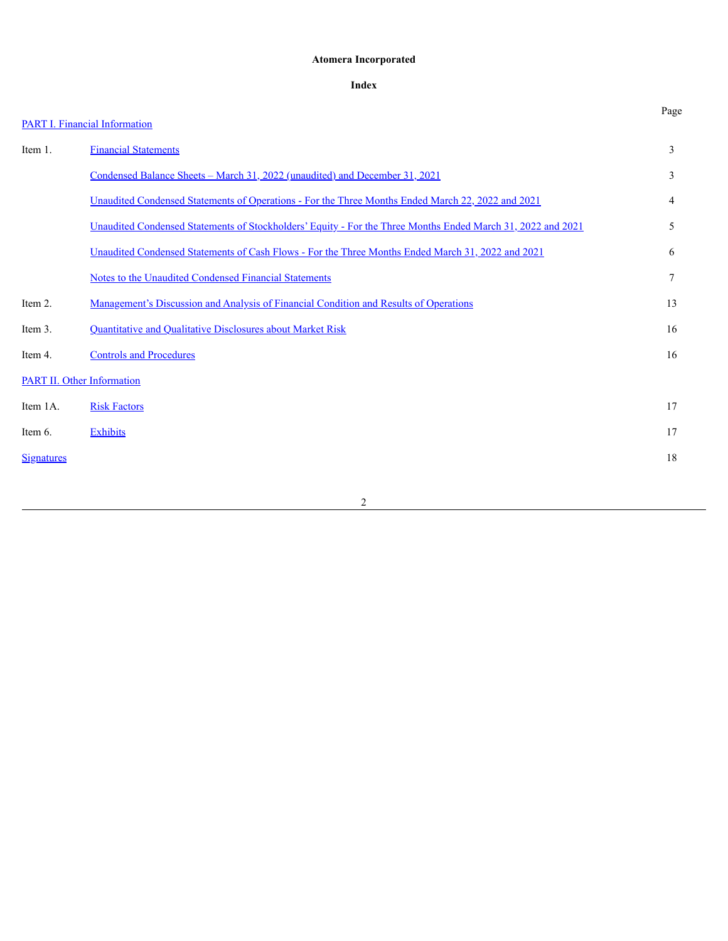# **Atomera Incorporated**

# <span id="page-1-0"></span>**Index**

|                   | <b>PART I. Financial Information</b>                                                                        | Page           |
|-------------------|-------------------------------------------------------------------------------------------------------------|----------------|
| Item 1.           | <b>Financial Statements</b>                                                                                 | 3              |
|                   | <u> Condensed Balance Sheets - March 31, 2022 (unaudited) and December 31, 2021</u>                         | 3              |
|                   | Unaudited Condensed Statements of Operations - For the Three Months Ended March 22, 2022 and 2021           | 4              |
|                   | Unaudited Condensed Statements of Stockholders' Equity - For the Three Months Ended March 31, 2022 and 2021 | 5              |
|                   | Unaudited Condensed Statements of Cash Flows - For the Three Months Ended March 31, 2022 and 2021           | 6              |
|                   | <b>Notes to the Unaudited Condensed Financial Statements</b>                                                | $\overline{7}$ |
| Item 2.           | Management's Discussion and Analysis of Financial Condition and Results of Operations                       | 13             |
| Item 3.           | Quantitative and Qualitative Disclosures about Market Risk                                                  | 16             |
| Item 4.           | <b>Controls and Procedures</b>                                                                              | 16             |
|                   | <b>PART II. Other Information</b>                                                                           |                |
| Item 1A.          | <b>Risk Factors</b>                                                                                         | 17             |
| Item 6.           | <b>Exhibits</b>                                                                                             | 17             |
| <b>Signatures</b> |                                                                                                             | 18             |
|                   |                                                                                                             |                |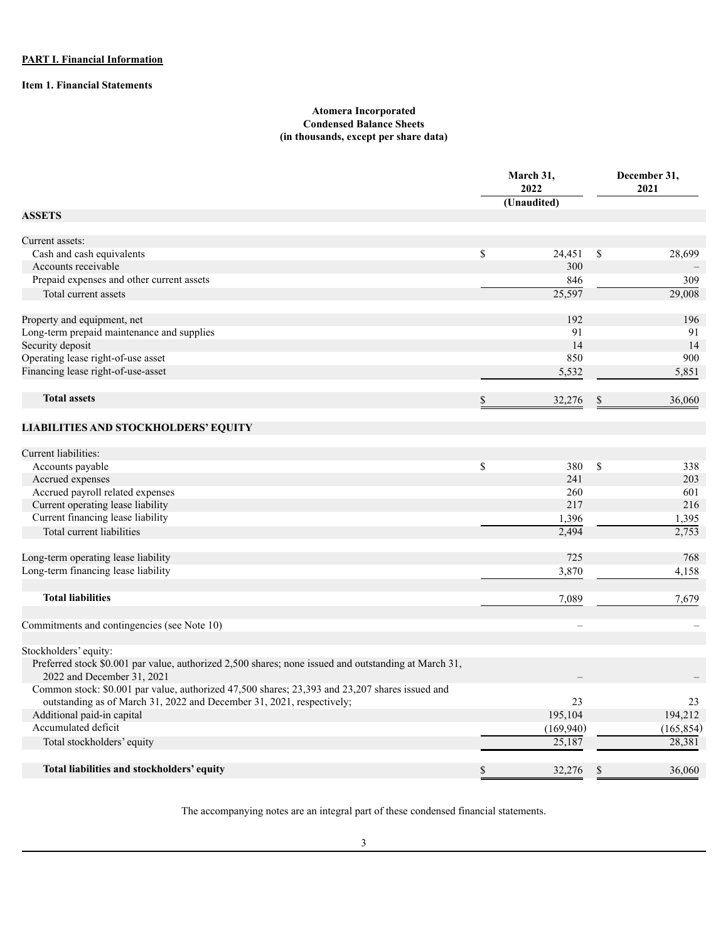# <span id="page-2-1"></span><span id="page-2-0"></span>**Item 1. Financial Statements**

# <span id="page-2-2"></span>**Atomera Incorporated Condensed Balance Sheets (in thousands, except per share data)**

|                                                                                                                                    |             | March 31,<br>2022 | December 31,<br>2021 |            |  |
|------------------------------------------------------------------------------------------------------------------------------------|-------------|-------------------|----------------------|------------|--|
|                                                                                                                                    |             | (Unaudited)       |                      |            |  |
| <b>ASSETS</b>                                                                                                                      |             |                   |                      |            |  |
| Current assets:                                                                                                                    |             |                   |                      |            |  |
| Cash and cash equivalents                                                                                                          | \$          | 24,451            | \$                   | 28,699     |  |
| Accounts receivable                                                                                                                |             | 300               |                      |            |  |
| Prepaid expenses and other current assets                                                                                          |             | 846               |                      | 309        |  |
| Total current assets                                                                                                               |             | 25,597            |                      | 29,008     |  |
| Property and equipment, net                                                                                                        |             | 192               |                      | 196        |  |
| Long-term prepaid maintenance and supplies                                                                                         |             | 91                |                      | 91         |  |
| Security deposit                                                                                                                   |             | 14                |                      | 14         |  |
| Operating lease right-of-use asset                                                                                                 |             | 850               |                      | 900        |  |
| Financing lease right-of-use-asset                                                                                                 |             | 5,532             |                      | 5,851      |  |
| <b>Total assets</b>                                                                                                                | \$          | 32,276            | \$                   | 36,060     |  |
| LIABILITIES AND STOCKHOLDERS' EQUITY                                                                                               |             |                   |                      |            |  |
| Current liabilities:                                                                                                               |             |                   |                      |            |  |
| Accounts payable                                                                                                                   | $\mathbb S$ | 380               | $\mathbb S$          | 338        |  |
| Accrued expenses                                                                                                                   |             | 241               |                      | 203        |  |
| Accrued payroll related expenses                                                                                                   |             | 260               |                      | 601        |  |
| Current operating lease liability                                                                                                  |             | 217               |                      | 216        |  |
| Current financing lease liability                                                                                                  |             | 1,396             |                      | 1,395      |  |
| Total current liabilities                                                                                                          |             | 2.494             |                      | 2,753      |  |
| Long-term operating lease liability                                                                                                |             | 725               |                      | 768        |  |
| Long-term financing lease liability                                                                                                |             | 3,870             |                      | 4,158      |  |
| <b>Total liabilities</b>                                                                                                           |             | 7.089             |                      | 7.679      |  |
|                                                                                                                                    |             |                   |                      |            |  |
| Commitments and contingencies (see Note 10)                                                                                        |             |                   |                      |            |  |
| Stockholders' equity:                                                                                                              |             |                   |                      |            |  |
| Preferred stock \$0.001 par value, authorized 2,500 shares; none issued and outstanding at March 31,<br>2022 and December 31, 2021 |             |                   |                      |            |  |
| Common stock: \$0.001 par value, authorized 47,500 shares; 23,393 and 23,207 shares issued and                                     |             |                   |                      |            |  |
| outstanding as of March 31, 2022 and December 31, 2021, respectively;                                                              |             | 23                |                      | 23         |  |
| Additional paid-in capital                                                                                                         |             | 195,104           |                      | 194,212    |  |
| Accumulated deficit                                                                                                                |             | (169, 940)        |                      | (165, 854) |  |
| Total stockholders' equity                                                                                                         |             | 25,187            |                      | 28,381     |  |
| Total liabilities and stockholders' equity                                                                                         | \$          | 32,276            | \$                   | 36,060     |  |

The accompanying notes are an integral part of these condensed financial statements.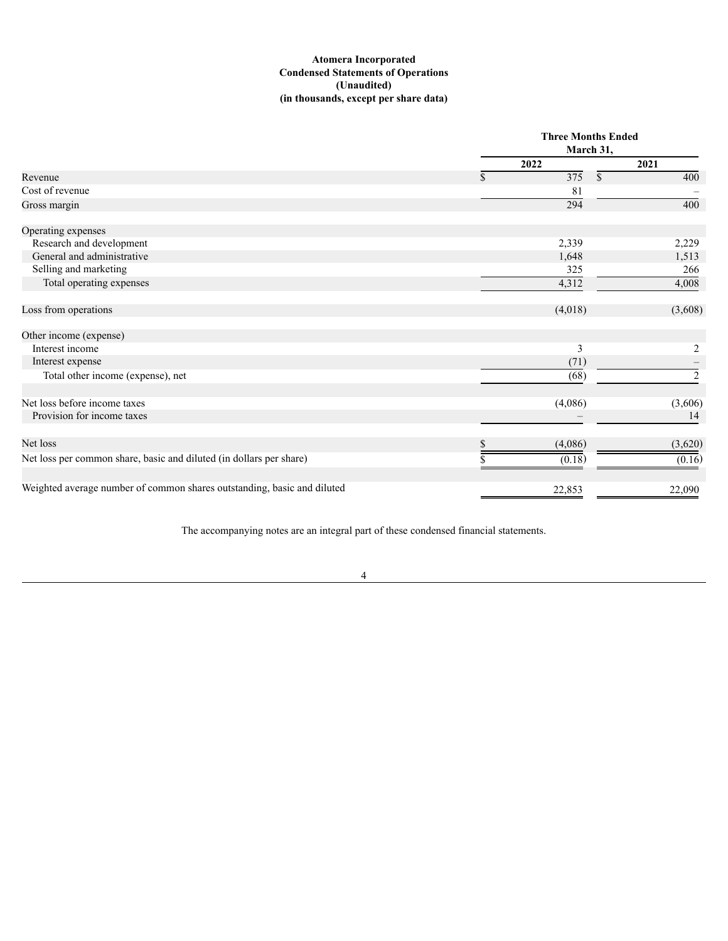# <span id="page-3-0"></span>**Atomera Incorporated Condensed Statements of Operations (Unaudited) (in thousands, except per share data)**

|                                                                         | <b>Three Months Ended</b><br>March 31, |                     |                |  |
|-------------------------------------------------------------------------|----------------------------------------|---------------------|----------------|--|
|                                                                         |                                        | 2022                | 2021           |  |
| Revenue                                                                 | $\mathbf S$                            | $\mathbb{S}$<br>375 | 400            |  |
| Cost of revenue                                                         |                                        | 81                  |                |  |
| Gross margin                                                            |                                        | 294                 | 400            |  |
| Operating expenses                                                      |                                        |                     |                |  |
| Research and development                                                |                                        | 2,339               | 2,229          |  |
| General and administrative                                              |                                        | 1,648               | 1,513          |  |
| Selling and marketing                                                   |                                        | 325                 | 266            |  |
| Total operating expenses                                                |                                        | 4,312               | 4,008          |  |
| Loss from operations                                                    |                                        | (4,018)             | (3,608)        |  |
| Other income (expense)                                                  |                                        |                     |                |  |
| Interest income                                                         |                                        | 3                   | $\overline{c}$ |  |
| Interest expense                                                        |                                        | (71)                |                |  |
| Total other income (expense), net                                       |                                        | (68)                | $\overline{2}$ |  |
| Net loss before income taxes                                            |                                        | (4,086)             | (3,606)        |  |
| Provision for income taxes                                              |                                        |                     | 14             |  |
| Net loss                                                                | \$                                     | (4,086)             | (3,620)        |  |
| Net loss per common share, basic and diluted (in dollars per share)     |                                        | (0.18)              | (0.16)         |  |
| Weighted average number of common shares outstanding, basic and diluted |                                        | 22,853              | 22,090         |  |

The accompanying notes are an integral part of these condensed financial statements.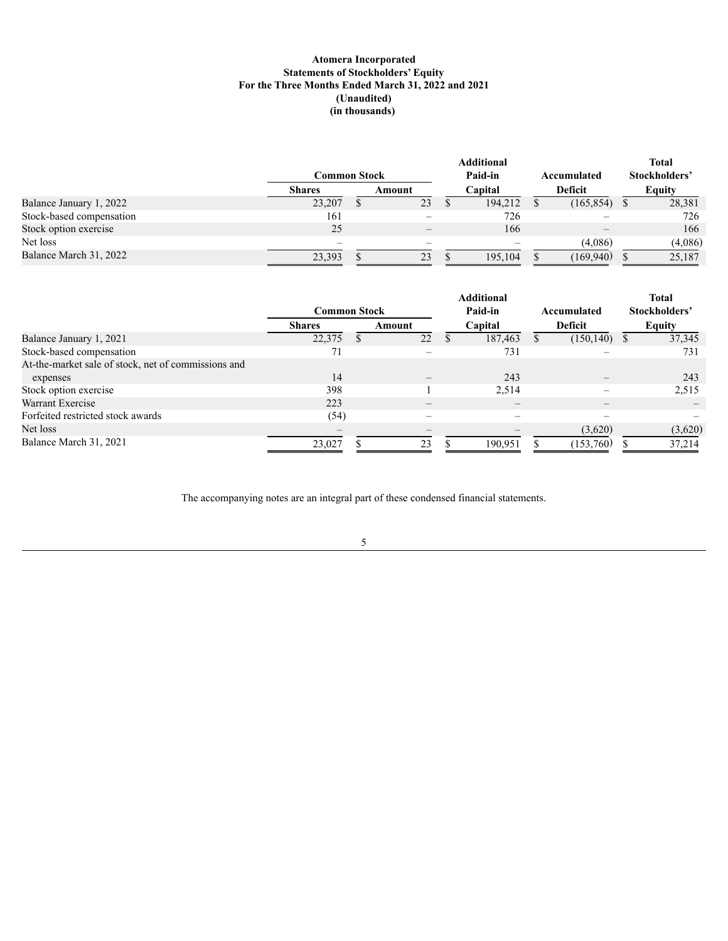# <span id="page-4-0"></span>**Atomera Incorporated Statements of Stockholders' Equity For the Three Months Ended March 31, 2022 and 2021 (Unaudited) (in thousands)**

|                          |               | Common Stock |        | <b>Additional</b><br>Paid-in |         |  | Accumulated |  | <b>Total</b><br>Stockholders' |
|--------------------------|---------------|--------------|--------|------------------------------|---------|--|-------------|--|-------------------------------|
|                          | <b>Shares</b> |              | Amount |                              | Capital |  | Deficit     |  | <b>Equity</b>                 |
| Balance January 1, 2022  | 23,207        |              | 23     |                              | 194,212 |  | (165, 854)  |  | 28,381                        |
| Stock-based compensation | 161           |              |        |                              | 726     |  |             |  | 726                           |
| Stock option exercise    | 25            |              |        |                              | 166     |  |             |  | 166                           |
| Net loss                 |               |              |        |                              |         |  | (4,086)     |  | (4,086)                       |
| Balance March 31, 2022   | 23,393        |              | 23     |                              | 195,104 |  | (169, 940)  |  | 25,187                        |

|                                                     |                     |        | <b>Additional</b> |             |    | <b>Total</b>  |
|-----------------------------------------------------|---------------------|--------|-------------------|-------------|----|---------------|
|                                                     | <b>Common Stock</b> |        | Paid-in           | Accumulated |    | Stockholders' |
|                                                     | <b>Shares</b>       | Amount | Capital           | Deficit     |    | <b>Equity</b> |
| Balance January 1, 2021                             | 22,375              | 22     | 187,463           | (150, 140)  | S. | 37,345        |
| Stock-based compensation                            | 71                  |        | 731               |             |    | 731           |
| At-the-market sale of stock, net of commissions and |                     |        |                   |             |    |               |
| expenses                                            | 14                  |        | 243               |             |    | 243           |
| Stock option exercise                               | 398                 |        | 2,514             |             |    | 2,515         |
| Warrant Exercise                                    | 223                 |        |                   |             |    |               |
| Forfeited restricted stock awards                   | (54)                |        |                   |             |    |               |
| Net loss                                            |                     |        |                   | (3,620)     |    | (3,620)       |
| Balance March 31, 2021                              | 23,027              | 23     | 190,951           | (153,760)   |    | 37,214        |

The accompanying notes are an integral part of these condensed financial statements.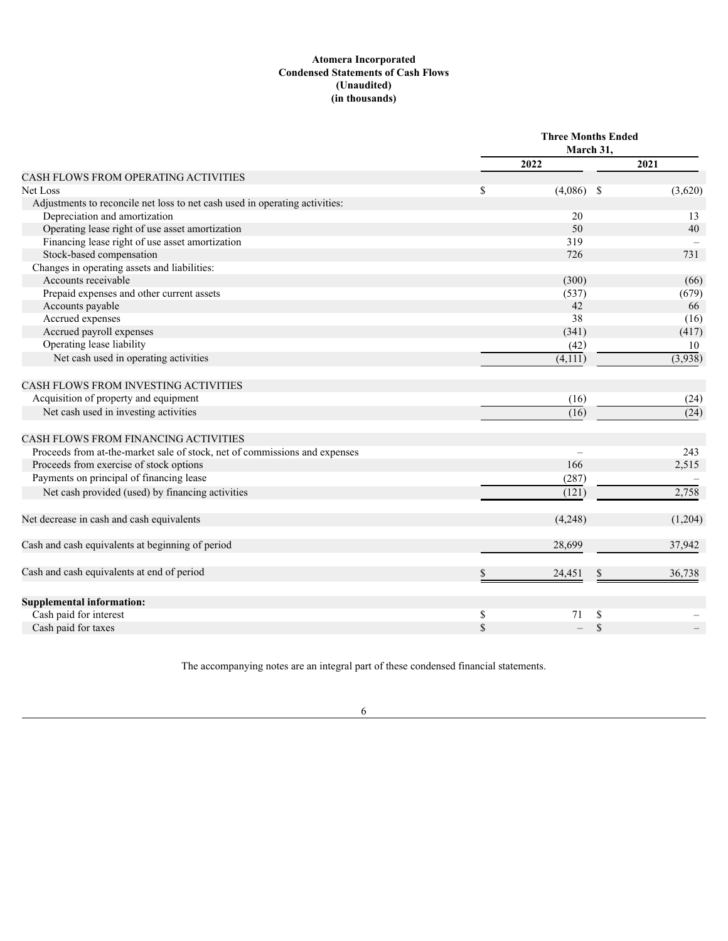# <span id="page-5-0"></span>**Atomera Incorporated Condensed Statements of Cash Flows (Unaudited) (in thousands)**

|                                                                             | <b>Three Months Ended</b><br>March 31, |              |         |  |
|-----------------------------------------------------------------------------|----------------------------------------|--------------|---------|--|
|                                                                             |                                        | 2022         | 2021    |  |
| CASH FLOWS FROM OPERATING ACTIVITIES                                        |                                        |              |         |  |
| Net Loss                                                                    | <sup>\$</sup>                          | $(4,086)$ \$ | (3,620) |  |
| Adjustments to reconcile net loss to net cash used in operating activities: |                                        |              |         |  |
| Depreciation and amortization                                               |                                        | 20           | 13      |  |
| Operating lease right of use asset amortization                             |                                        | 50           | 40      |  |
| Financing lease right of use asset amortization                             |                                        | 319          |         |  |
| Stock-based compensation                                                    |                                        | 726          | 731     |  |
| Changes in operating assets and liabilities:                                |                                        |              |         |  |
| Accounts receivable                                                         |                                        | (300)        | (66)    |  |
| Prepaid expenses and other current assets                                   |                                        | (537)        | (679)   |  |
| Accounts payable                                                            |                                        | 42           | 66      |  |
| Accrued expenses                                                            |                                        | 38           | (16)    |  |
| Accrued payroll expenses                                                    |                                        | (341)        | (417)   |  |
| Operating lease liability                                                   |                                        | (42)         | 10      |  |
| Net cash used in operating activities                                       |                                        | (4, 111)     | (3,938) |  |
| CASH FLOWS FROM INVESTING ACTIVITIES                                        |                                        |              |         |  |
| Acquisition of property and equipment                                       |                                        | (16)         | (24)    |  |
| Net cash used in investing activities                                       |                                        | (16)         | (24)    |  |
| CASH FLOWS FROM FINANCING ACTIVITIES                                        |                                        |              |         |  |
| Proceeds from at-the-market sale of stock, net of commissions and expenses  |                                        |              | 243     |  |
| Proceeds from exercise of stock options                                     |                                        | 166          | 2,515   |  |
| Payments on principal of financing lease                                    |                                        | (287)        |         |  |
| Net cash provided (used) by financing activities                            |                                        | (121)        | 2,758   |  |
| Net decrease in cash and cash equivalents                                   |                                        | (4,248)      | (1,204) |  |
| Cash and cash equivalents at beginning of period                            |                                        | 28,699       | 37,942  |  |
| Cash and cash equivalents at end of period                                  | \$                                     | 24,451       | 36,738  |  |
| <b>Supplemental information:</b>                                            |                                        |              |         |  |
| Cash paid for interest                                                      | \$                                     | 71<br>\$     |         |  |
| Cash paid for taxes                                                         | \$                                     | \$           |         |  |

The accompanying notes are an integral part of these condensed financial statements.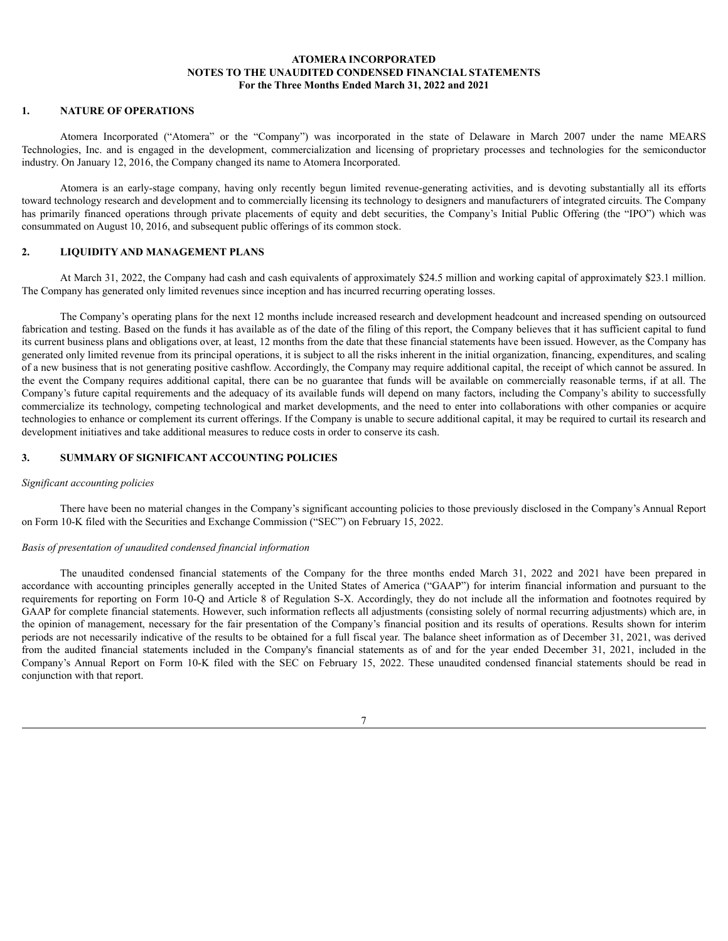## <span id="page-6-0"></span>**ATOMERA INCORPORATED NOTES TO THE UNAUDITED CONDENSED FINANCIAL STATEMENTS For the Three Months Ended March 31, 2022 and 2021**

# **1. NATURE OF OPERATIONS**

Atomera Incorporated ("Atomera" or the "Company") was incorporated in the state of Delaware in March 2007 under the name MEARS Technologies, Inc. and is engaged in the development, commercialization and licensing of proprietary processes and technologies for the semiconductor industry. On January 12, 2016, the Company changed its name to Atomera Incorporated.

Atomera is an early-stage company, having only recently begun limited revenue-generating activities, and is devoting substantially all its efforts toward technology research and development and to commercially licensing its technology to designers and manufacturers of integrated circuits. The Company has primarily financed operations through private placements of equity and debt securities, the Company's Initial Public Offering (the "IPO") which was consummated on August 10, 2016, and subsequent public offerings of its common stock.

#### **2. LIQUIDITY AND MANAGEMENT PLANS**

At March 31, 2022, the Company had cash and cash equivalents of approximately \$24.5 million and working capital of approximately \$23.1 million. The Company has generated only limited revenues since inception and has incurred recurring operating losses.

The Company's operating plans for the next 12 months include increased research and development headcount and increased spending on outsourced fabrication and testing. Based on the funds it has available as of the date of the filing of this report, the Company believes that it has sufficient capital to fund its current business plans and obligations over, at least, 12 months from the date that these financial statements have been issued. However, as the Company has generated only limited revenue from its principal operations, it is subject to all the risks inherent in the initial organization, financing, expenditures, and scaling of a new business that is not generating positive cashflow. Accordingly, the Company may require additional capital, the receipt of which cannot be assured. In the event the Company requires additional capital, there can be no guarantee that funds will be available on commercially reasonable terms, if at all. The Company's future capital requirements and the adequacy of its available funds will depend on many factors, including the Company's ability to successfully commercialize its technology, competing technological and market developments, and the need to enter into collaborations with other companies or acquire technologies to enhance or complement its current offerings. If the Company is unable to secure additional capital, it may be required to curtail its research and development initiatives and take additional measures to reduce costs in order to conserve its cash.

## **3. SUMMARY OF SIGNIFICANT ACCOUNTING POLICIES**

#### *Significant accounting policies*

There have been no material changes in the Company's significant accounting policies to those previously disclosed in the Company's Annual Report on Form 10-K filed with the Securities and Exchange Commission ("SEC") on February 15, 2022.

### *Basis of presentation of unaudited condensed financial information*

The unaudited condensed financial statements of the Company for the three months ended March 31, 2022 and 2021 have been prepared in accordance with accounting principles generally accepted in the United States of America ("GAAP") for interim financial information and pursuant to the requirements for reporting on Form 10-Q and Article 8 of Regulation S-X. Accordingly, they do not include all the information and footnotes required by GAAP for complete financial statements. However, such information reflects all adjustments (consisting solely of normal recurring adjustments) which are, in the opinion of management, necessary for the fair presentation of the Company's financial position and its results of operations. Results shown for interim periods are not necessarily indicative of the results to be obtained for a full fiscal year. The balance sheet information as of December 31, 2021, was derived from the audited financial statements included in the Company's financial statements as of and for the year ended December 31, 2021, included in the Company's Annual Report on Form 10-K filed with the SEC on February 15, 2022. These unaudited condensed financial statements should be read in conjunction with that report.

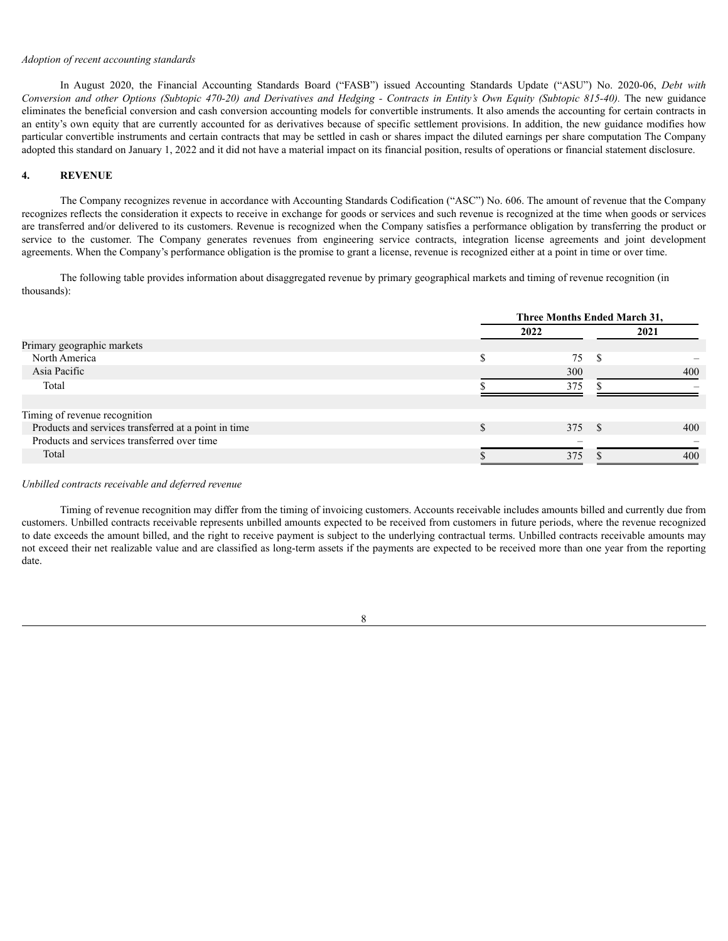## *Adoption of recent accounting standards*

In August 2020, the Financial Accounting Standards Board ("FASB") issued Accounting Standards Update ("ASU") No. 2020-06, *Debt with* Conversion and other Options (Subtopic 470-20) and Derivatives and Hedging - Contracts in Entity's Own Equity (Subtopic 815-40). The new guidance eliminates the beneficial conversion and cash conversion accounting models for convertible instruments. It also amends the accounting for certain contracts in an entity's own equity that are currently accounted for as derivatives because of specific settlement provisions. In addition, the new guidance modifies how particular convertible instruments and certain contracts that may be settled in cash or shares impact the diluted earnings per share computation The Company adopted this standard on January 1, 2022 and it did not have a material impact on its financial position, results of operations or financial statement disclosure.

#### **4. REVENUE**

The Company recognizes revenue in accordance with Accounting Standards Codification ("ASC") No. 606. The amount of revenue that the Company recognizes reflects the consideration it expects to receive in exchange for goods or services and such revenue is recognized at the time when goods or services are transferred and/or delivered to its customers. Revenue is recognized when the Company satisfies a performance obligation by transferring the product or service to the customer. The Company generates revenues from engineering service contracts, integration license agreements and joint development agreements. When the Company's performance obligation is the promise to grant a license, revenue is recognized either at a point in time or over time.

The following table provides information about disaggregated revenue by primary geographical markets and timing of revenue recognition (in thousands):

|                                                      | <b>Three Months Ended March 31,</b> |      |     |  |
|------------------------------------------------------|-------------------------------------|------|-----|--|
|                                                      | 2022                                | 2021 |     |  |
| Primary geographic markets                           |                                     |      |     |  |
| North America                                        | <b>S</b><br>75                      |      |     |  |
| Asia Pacific                                         | 300                                 |      | 400 |  |
| Total                                                | 375                                 |      |     |  |
| Timing of revenue recognition                        |                                     |      |     |  |
| Products and services transferred at a point in time | 375<br>-8                           |      | 400 |  |
| Products and services transferred over time          |                                     |      |     |  |
| Total                                                | 375                                 |      | 400 |  |

#### *Unbilled contracts receivable and deferred revenue*

Timing of revenue recognition may differ from the timing of invoicing customers. Accounts receivable includes amounts billed and currently due from customers. Unbilled contracts receivable represents unbilled amounts expected to be received from customers in future periods, where the revenue recognized to date exceeds the amount billed, and the right to receive payment is subject to the underlying contractual terms. Unbilled contracts receivable amounts may not exceed their net realizable value and are classified as long-term assets if the payments are expected to be received more than one year from the reporting date.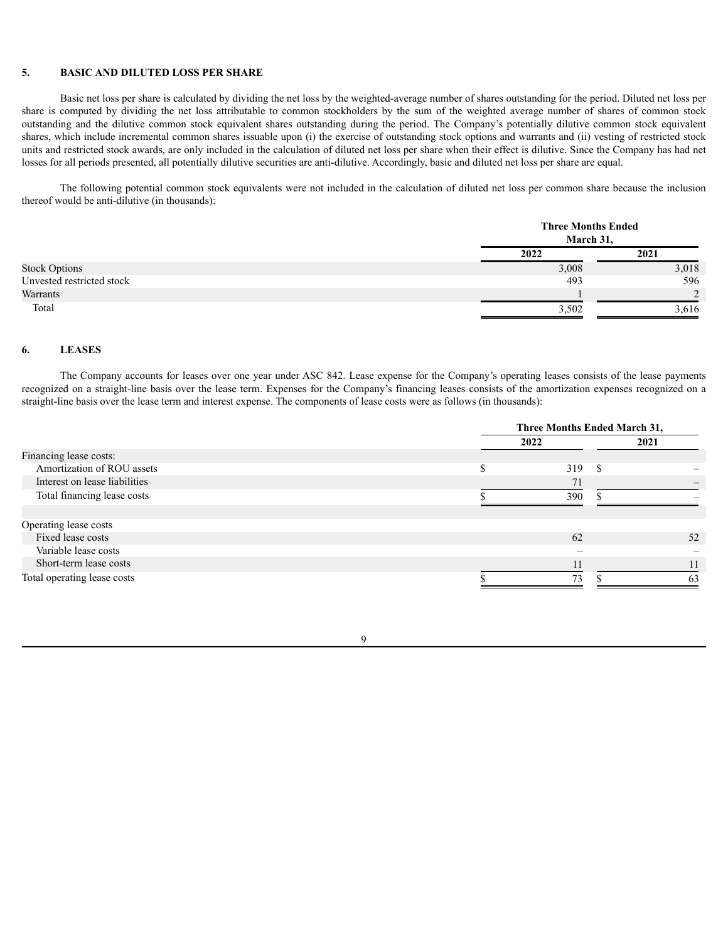#### **5. BASIC AND DILUTED LOSS PER SHARE**

Basic net loss per share is calculated by dividing the net loss by the weighted-average number of shares outstanding for the period. Diluted net loss per share is computed by dividing the net loss attributable to common stockholders by the sum of the weighted average number of shares of common stock outstanding and the dilutive common stock equivalent shares outstanding during the period. The Company's potentially dilutive common stock equivalent shares, which include incremental common shares issuable upon (i) the exercise of outstanding stock options and warrants and (ii) vesting of restricted stock units and restricted stock awards, are only included in the calculation of diluted net loss per share when their effect is dilutive. Since the Company has had net losses for all periods presented, all potentially dilutive securities are anti-dilutive. Accordingly, basic and diluted net loss per share are equal.

The following potential common stock equivalents were not included in the calculation of diluted net loss per common share because the inclusion thereof would be anti-dilutive (in thousands):

|                           | <b>Three Months Ended</b><br>March 31, |       |
|---------------------------|----------------------------------------|-------|
|                           | 2022                                   | 2021  |
| <b>Stock Options</b>      | 3,008                                  | 3,018 |
| Unvested restricted stock | 493                                    | 596   |
| Warrants                  |                                        |       |
| Total                     | 3,502                                  | 3,616 |

#### **6. LEASES**

The Company accounts for leases over one year under ASC 842. Lease expense for the Company's operating leases consists of the lease payments recognized on a straight-line basis over the lease term. Expenses for the Company's financing leases consists of the amortization expenses recognized on a straight-line basis over the lease term and interest expense. The components of lease costs were as follows (in thousands):

|                               | <b>Three Months Ended March 31,</b> |     |      |  |  |
|-------------------------------|-------------------------------------|-----|------|--|--|
|                               | 2022                                |     | 2021 |  |  |
| Financing lease costs:        |                                     |     |      |  |  |
| Amortization of ROU assets    | 319                                 | \$. |      |  |  |
| Interest on lease liabilities | 71                                  |     |      |  |  |
| Total financing lease costs   | 390                                 |     |      |  |  |
|                               |                                     |     |      |  |  |
| Operating lease costs         |                                     |     |      |  |  |
| Fixed lease costs             | 62                                  |     | 52   |  |  |
| Variable lease costs          |                                     |     |      |  |  |
| Short-term lease costs        |                                     |     | 11   |  |  |
| Total operating lease costs   | 73                                  |     | 63   |  |  |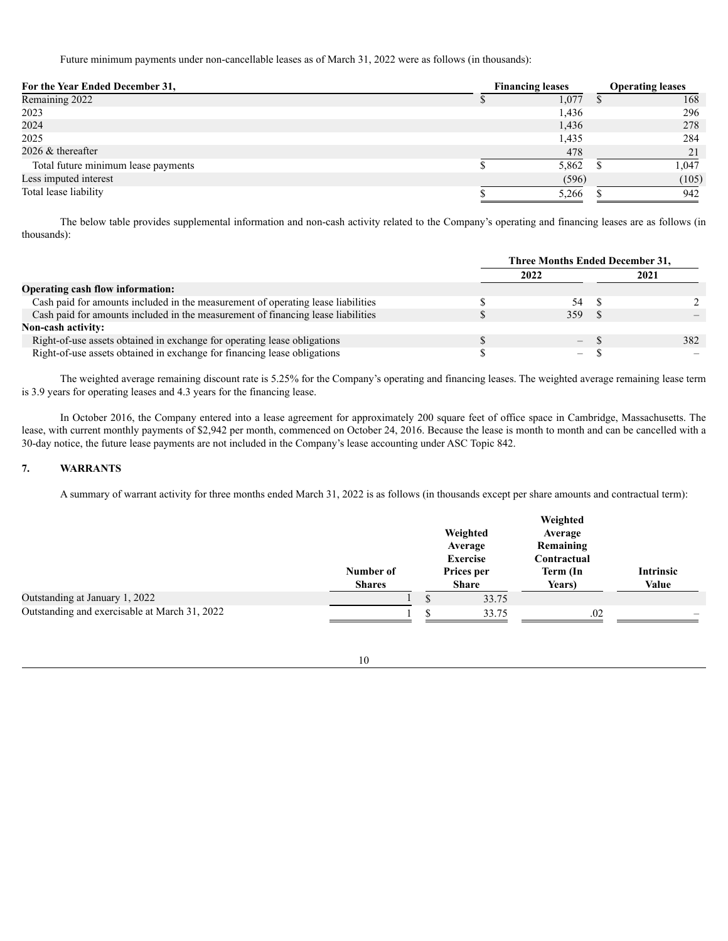Future minimum payments under non-cancellable leases as of March 31, 2022 were as follows (in thousands):

| For the Year Ended December 31,     | <b>Financing leases</b> | <b>Operating leases</b> |
|-------------------------------------|-------------------------|-------------------------|
| Remaining 2022                      | 1,077                   | 168                     |
| 2023                                | 1,436                   | 296                     |
| 2024                                | 1,436                   | 278                     |
| 2025                                | 1,435                   | 284                     |
| 2026 $&$ thereafter                 | 478                     | 21                      |
| Total future minimum lease payments | 5,862                   | 1,047                   |
| Less imputed interest               | (596)                   | (105)                   |
| Total lease liability               | 5,266                   | 942                     |

The below table provides supplemental information and non-cash activity related to the Company's operating and financing leases are as follows (in thousands):

|                                                                                  | Three Months Ended December 31, |      |  |      |
|----------------------------------------------------------------------------------|---------------------------------|------|--|------|
|                                                                                  |                                 | 2022 |  | 2021 |
| <b>Operating cash flow information:</b>                                          |                                 |      |  |      |
| Cash paid for amounts included in the measurement of operating lease liabilities |                                 | 54   |  |      |
| Cash paid for amounts included in the measurement of financing lease liabilities |                                 | 359  |  |      |
| Non-cash activity:                                                               |                                 |      |  |      |
| Right-of-use assets obtained in exchange for operating lease obligations         |                                 | $-$  |  | 382  |
| Right-of-use assets obtained in exchange for financing lease obligations         |                                 | $-$  |  |      |

The weighted average remaining discount rate is 5.25% for the Company's operating and financing leases. The weighted average remaining lease term is 3.9 years for operating leases and 4.3 years for the financing lease.

In October 2016, the Company entered into a lease agreement for approximately 200 square feet of office space in Cambridge, Massachusetts. The lease, with current monthly payments of \$2,942 per month, commenced on October 24, 2016. Because the lease is month to month and can be cancelled with a 30-day notice, the future lease payments are not included in the Company's lease accounting under ASC Topic 842.

## **7. WARRANTS**

A summary of warrant activity for three months ended March 31, 2022 is as follows (in thousands except per share amounts and contractual term):

|                                               |               |                 | Weighted    |                  |
|-----------------------------------------------|---------------|-----------------|-------------|------------------|
|                                               |               | Weighted        | Average     |                  |
|                                               |               | Average         | Remaining   |                  |
|                                               |               | <b>Exercise</b> | Contractual |                  |
|                                               | Number of     | Prices per      | Term (In    | <b>Intrinsic</b> |
|                                               | <b>Shares</b> | <b>Share</b>    | Years)      | <b>Value</b>     |
| Outstanding at January 1, 2022                |               | 33.75           |             |                  |
| Outstanding and exercisable at March 31, 2022 |               | 33.75           | .02         |                  |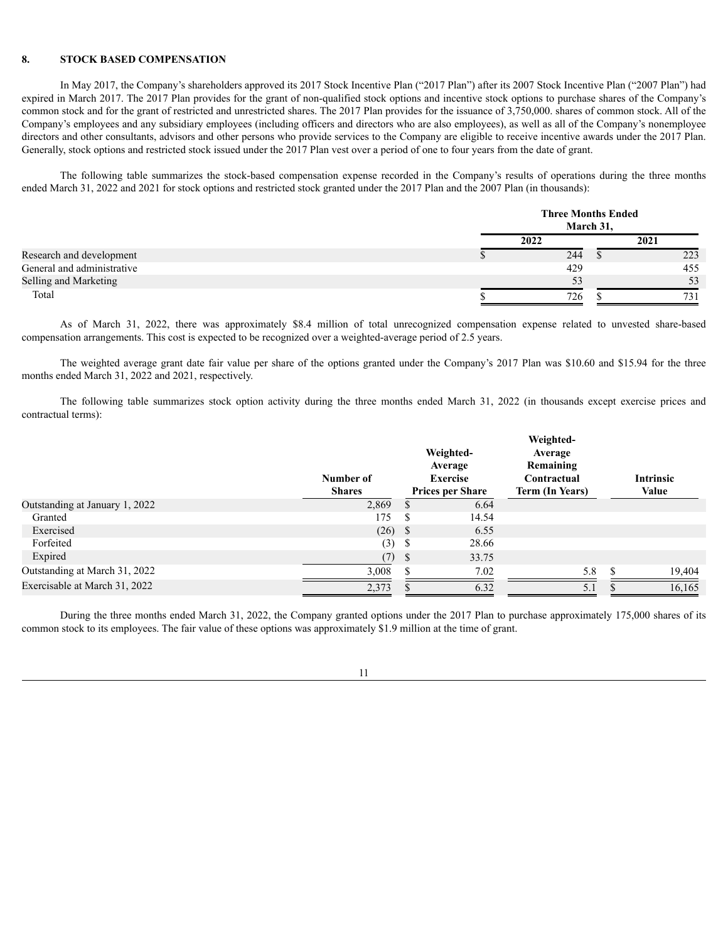#### **8. STOCK BASED COMPENSATION**

In May 2017, the Company's shareholders approved its 2017 Stock Incentive Plan ("2017 Plan") after its 2007 Stock Incentive Plan ("2007 Plan") had expired in March 2017. The 2017 Plan provides for the grant of non-qualified stock options and incentive stock options to purchase shares of the Company's common stock and for the grant of restricted and unrestricted shares. The 2017 Plan provides for the issuance of 3,750,000. shares of common stock. All of the Company's employees and any subsidiary employees (including officers and directors who are also employees), as well as all of the Company's nonemployee directors and other consultants, advisors and other persons who provide services to the Company are eligible to receive incentive awards under the 2017 Plan. Generally, stock options and restricted stock issued under the 2017 Plan vest over a period of one to four years from the date of grant.

The following table summarizes the stock-based compensation expense recorded in the Company's results of operations during the three months ended March 31, 2022 and 2021 for stock options and restricted stock granted under the 2017 Plan and the 2007 Plan (in thousands):

|                            | <b>Three Months Ended</b><br>March 31, |      |  |      |
|----------------------------|----------------------------------------|------|--|------|
|                            |                                        | 2022 |  | 2021 |
| Research and development   |                                        | 244  |  | 223  |
| General and administrative |                                        | 429  |  | 455  |
| Selling and Marketing      |                                        | 53   |  | 53   |
| Total                      |                                        | 726  |  | 731  |

As of March 31, 2022, there was approximately \$8.4 million of total unrecognized compensation expense related to unvested share-based compensation arrangements. This cost is expected to be recognized over a weighted-average period of 2.5 years.

The weighted average grant date fair value per share of the options granted under the Company's 2017 Plan was \$10.60 and \$15.94 for the three months ended March 31, 2022 and 2021, respectively.

The following table summarizes stock option activity during the three months ended March 31, 2022 (in thousands except exercise prices and contractual terms):

|                                | Number of<br><b>Shares</b> |               | Weighted-<br>Average<br><b>Exercise</b><br><b>Prices per Share</b> | Weighted-<br>Average<br>Remaining<br>Contractual<br>Term (In Years) | <b>Intrinsic</b><br>Value |
|--------------------------------|----------------------------|---------------|--------------------------------------------------------------------|---------------------------------------------------------------------|---------------------------|
| Outstanding at January 1, 2022 | 2,869                      |               | 6.64                                                               |                                                                     |                           |
| Granted                        | 175                        | -S            | 14.54                                                              |                                                                     |                           |
| Exercised                      | $(26)$ \$                  |               | 6.55                                                               |                                                                     |                           |
| Forfeited                      | (3)                        | - \$          | 28.66                                                              |                                                                     |                           |
| Expired                        | (7)                        | <sup>\$</sup> | 33.75                                                              |                                                                     |                           |
| Outstanding at March 31, 2022  | 3,008                      |               | 7.02                                                               | 5.8                                                                 | 19,404                    |
| Exercisable at March 31, 2022  | 2,373                      |               | 6.32                                                               | 5.1                                                                 | 16,165                    |

During the three months ended March 31, 2022, the Company granted options under the 2017 Plan to purchase approximately 175,000 shares of its common stock to its employees. The fair value of these options was approximately \$1.9 million at the time of grant.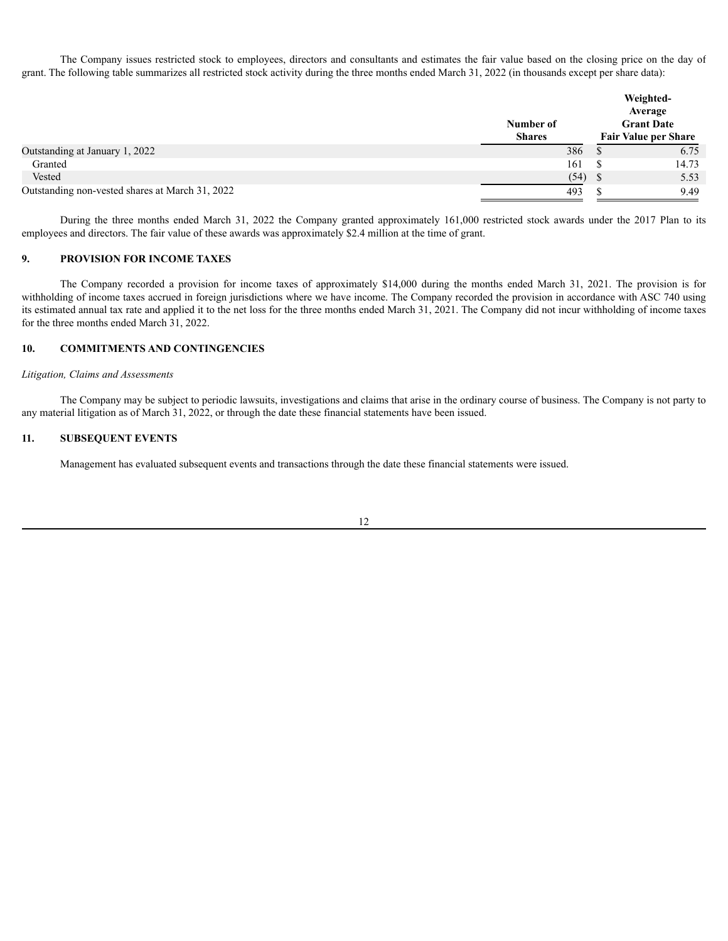The Company issues restricted stock to employees, directors and consultants and estimates the fair value based on the closing price on the day of grant. The following table summarizes all restricted stock activity during the three months ended March 31, 2022 (in thousands except per share data):

|                                                 |               |  | Weighted-                   |
|-------------------------------------------------|---------------|--|-----------------------------|
|                                                 |               |  | Average                     |
|                                                 | Number of     |  | <b>Grant Date</b>           |
|                                                 | <b>Shares</b> |  | <b>Fair Value per Share</b> |
| Outstanding at January 1, 2022                  | 386           |  | 6.75                        |
| Granted                                         | 161           |  | 14.73                       |
| Vested                                          | (54)          |  | 5.53                        |
| Outstanding non-vested shares at March 31, 2022 | 493           |  | 9.49                        |

During the three months ended March 31, 2022 the Company granted approximately 161,000 restricted stock awards under the 2017 Plan to its employees and directors. The fair value of these awards was approximately \$2.4 million at the time of grant.

## **9. PROVISION FOR INCOME TAXES**

The Company recorded a provision for income taxes of approximately \$14,000 during the months ended March 31, 2021. The provision is for withholding of income taxes accrued in foreign jurisdictions where we have income. The Company recorded the provision in accordance with ASC 740 using its estimated annual tax rate and applied it to the net loss for the three months ended March 31, 2021. The Company did not incur withholding of income taxes for the three months ended March 31, 2022.

### **10. COMMITMENTS AND CONTINGENCIES**

## *Litigation, Claims and Assessments*

The Company may be subject to periodic lawsuits, investigations and claims that arise in the ordinary course of business. The Company is not party to any material litigation as of March 31, 2022, or through the date these financial statements have been issued.

## **11. SUBSEQUENT EVENTS**

Management has evaluated subsequent events and transactions through the date these financial statements were issued.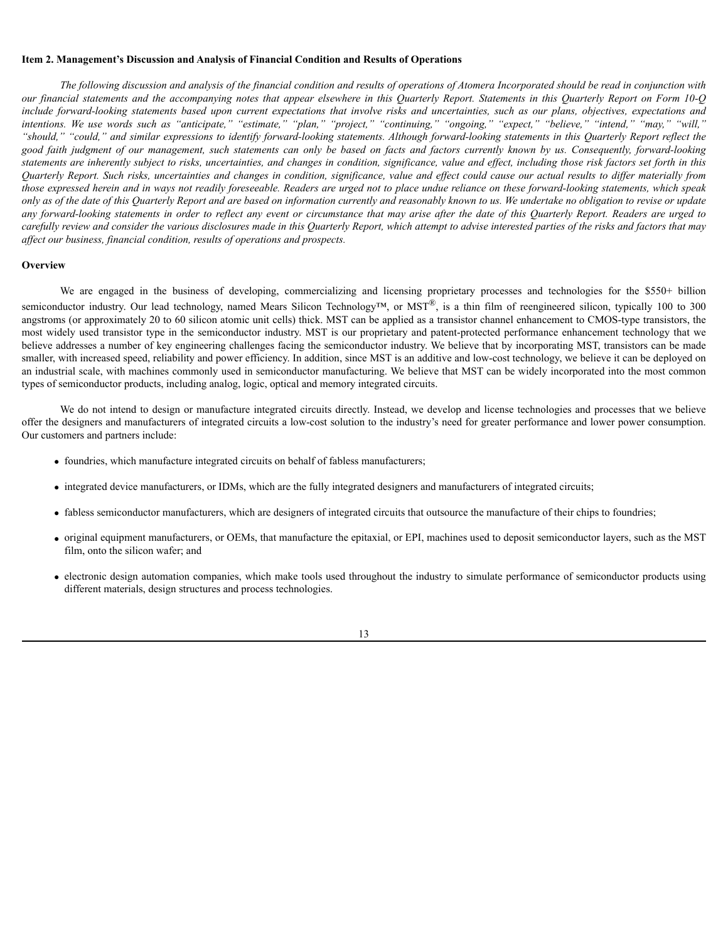#### <span id="page-12-0"></span>**Item 2. Management's Discussion and Analysis of Financial Condition and Results of Operations**

The following discussion and analysis of the financial condition and results of operations of Atomera Incorporated should be read in conjunction with our financial statements and the accompanying notes that appear elsewhere in this Quarterly Report. Statements in this Quarterly Report on Form 10-Q include forward-looking statements based upon current expectations that involve risks and uncertainties, such as our plans, objectives, expectations and intentions. We use words such as "anticipate," "estimate," "plan," "project," "continuing," "ongoing," "expect," "believe," "intend," "may," "will," "should," "could," and similar expressions to identify forward-looking statements. Although forward-looking statements in this Quarterly Report reflect the good faith judgment of our management, such statements can only be based on facts and factors currently known by us. Consequently, forward-looking statements are inherently subject to risks, uncertainties, and changes in condition, significance, value and effect, including those risk factors set forth in this Quarterly Report. Such risks, uncertainties and changes in condition, significance, value and effect could cause our actual results to differ materially from those expressed herein and in ways not readily foreseeable. Readers are urged not to place undue reliance on these forward-looking statements, which speak only as of the date of this Quarterly Report and are based on information currently and reasonably known to us. We undertake no obligation to revise or update any forward-looking statements in order to reflect any event or circumstance that may arise after the date of this Quarterly Report. Readers are urged to carefully review and consider the various disclosures made in this Quarterly Report, which attempt to advise interested parties of the risks and factors that may *af ect our business, financial condition, results of operations and prospects.*

#### **Overview**

We are engaged in the business of developing, commercializing and licensing proprietary processes and technologies for the \$550+ billion semiconductor industry. Our lead technology, named Mears Silicon Technology™, or MST®, is a thin film of reengineered silicon, typically 100 to 300 angstroms (or approximately 20 to 60 silicon atomic unit cells) thick. MST can be applied as a transistor channel enhancement to CMOS-type transistors, the most widely used transistor type in the semiconductor industry. MST is our proprietary and patent-protected performance enhancement technology that we believe addresses a number of key engineering challenges facing the semiconductor industry. We believe that by incorporating MST, transistors can be made smaller, with increased speed, reliability and power efficiency. In addition, since MST is an additive and low-cost technology, we believe it can be deployed on an industrial scale, with machines commonly used in semiconductor manufacturing. We believe that MST can be widely incorporated into the most common types of semiconductor products, including analog, logic, optical and memory integrated circuits.

We do not intend to design or manufacture integrated circuits directly. Instead, we develop and license technologies and processes that we believe offer the designers and manufacturers of integrated circuits a low-cost solution to the industry's need for greater performance and lower power consumption. Our customers and partners include:

- · foundries, which manufacture integrated circuits on behalf of fabless manufacturers;
- · integrated device manufacturers, or IDMs, which are the fully integrated designers and manufacturers of integrated circuits;
- · fabless semiconductor manufacturers, which are designers of integrated circuits that outsource the manufacture of their chips to foundries;
- · original equipment manufacturers, or OEMs, that manufacture the epitaxial, or EPI, machines used to deposit semiconductor layers, such as the MST film, onto the silicon wafer; and
- · electronic design automation companies, which make tools used throughout the industry to simulate performance of semiconductor products using different materials, design structures and process technologies.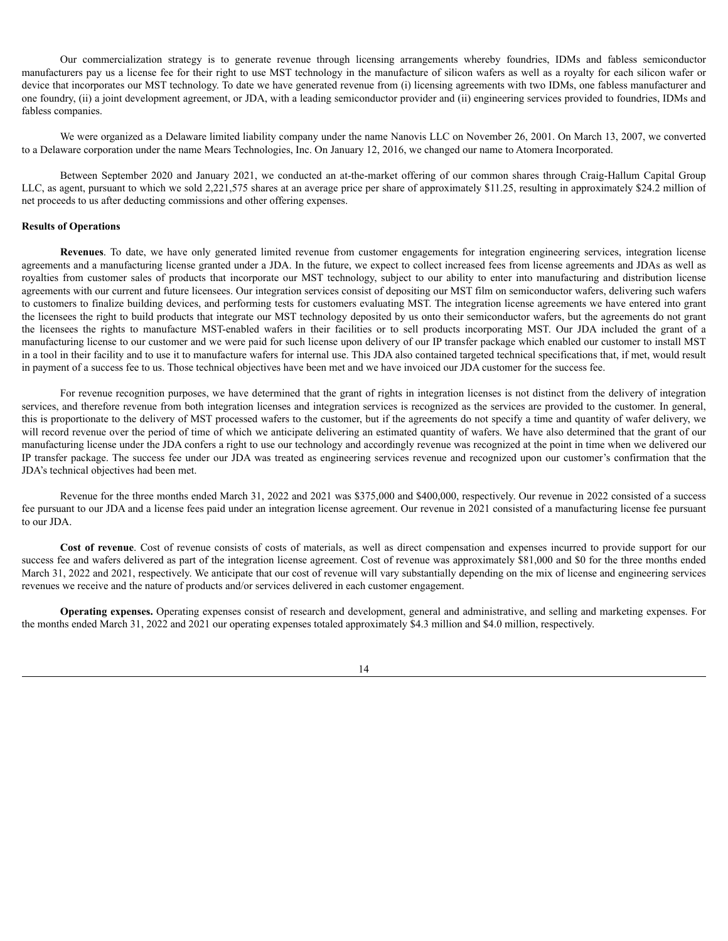Our commercialization strategy is to generate revenue through licensing arrangements whereby foundries, IDMs and fabless semiconductor manufacturers pay us a license fee for their right to use MST technology in the manufacture of silicon wafers as well as a royalty for each silicon wafer or device that incorporates our MST technology. To date we have generated revenue from (i) licensing agreements with two IDMs, one fabless manufacturer and one foundry, (ii) a joint development agreement, or JDA, with a leading semiconductor provider and (ii) engineering services provided to foundries, IDMs and fabless companies.

We were organized as a Delaware limited liability company under the name Nanovis LLC on November 26, 2001. On March 13, 2007, we converted to a Delaware corporation under the name Mears Technologies, Inc. On January 12, 2016, we changed our name to Atomera Incorporated.

Between September 2020 and January 2021, we conducted an at-the-market offering of our common shares through Craig-Hallum Capital Group LLC, as agent, pursuant to which we sold 2,221,575 shares at an average price per share of approximately \$11.25, resulting in approximately \$24.2 million of net proceeds to us after deducting commissions and other offering expenses.

#### **Results of Operations**

**Revenues**. To date, we have only generated limited revenue from customer engagements for integration engineering services, integration license agreements and a manufacturing license granted under a JDA. In the future, we expect to collect increased fees from license agreements and JDAs as well as royalties from customer sales of products that incorporate our MST technology, subject to our ability to enter into manufacturing and distribution license agreements with our current and future licensees. Our integration services consist of depositing our MST film on semiconductor wafers, delivering such wafers to customers to finalize building devices, and performing tests for customers evaluating MST. The integration license agreements we have entered into grant the licensees the right to build products that integrate our MST technology deposited by us onto their semiconductor wafers, but the agreements do not grant the licensees the rights to manufacture MST-enabled wafers in their facilities or to sell products incorporating MST. Our JDA included the grant of a manufacturing license to our customer and we were paid for such license upon delivery of our IP transfer package which enabled our customer to install MST in a tool in their facility and to use it to manufacture wafers for internal use. This JDA also contained targeted technical specifications that, if met, would result in payment of a success fee to us. Those technical objectives have been met and we have invoiced our JDA customer for the success fee.

For revenue recognition purposes, we have determined that the grant of rights in integration licenses is not distinct from the delivery of integration services, and therefore revenue from both integration licenses and integration services is recognized as the services are provided to the customer. In general, this is proportionate to the delivery of MST processed wafers to the customer, but if the agreements do not specify a time and quantity of wafer delivery, we will record revenue over the period of time of which we anticipate delivering an estimated quantity of wafers. We have also determined that the grant of our manufacturing license under the JDA confers a right to use our technology and accordingly revenue was recognized at the point in time when we delivered our IP transfer package. The success fee under our JDA was treated as engineering services revenue and recognized upon our customer's confirmation that the JDA's technical objectives had been met.

Revenue for the three months ended March 31, 2022 and 2021 was \$375,000 and \$400,000, respectively. Our revenue in 2022 consisted of a success fee pursuant to our JDA and a license fees paid under an integration license agreement. Our revenue in 2021 consisted of a manufacturing license fee pursuant to our JDA.

**Cost of revenue**. Cost of revenue consists of costs of materials, as well as direct compensation and expenses incurred to provide support for our success fee and wafers delivered as part of the integration license agreement. Cost of revenue was approximately \$81,000 and \$0 for the three months ended March 31, 2022 and 2021, respectively. We anticipate that our cost of revenue will vary substantially depending on the mix of license and engineering services revenues we receive and the nature of products and/or services delivered in each customer engagement.

**Operating expenses.** Operating expenses consist of research and development, general and administrative, and selling and marketing expenses. For the months ended March 31, 2022 and 2021 our operating expenses totaled approximately \$4.3 million and \$4.0 million, respectively.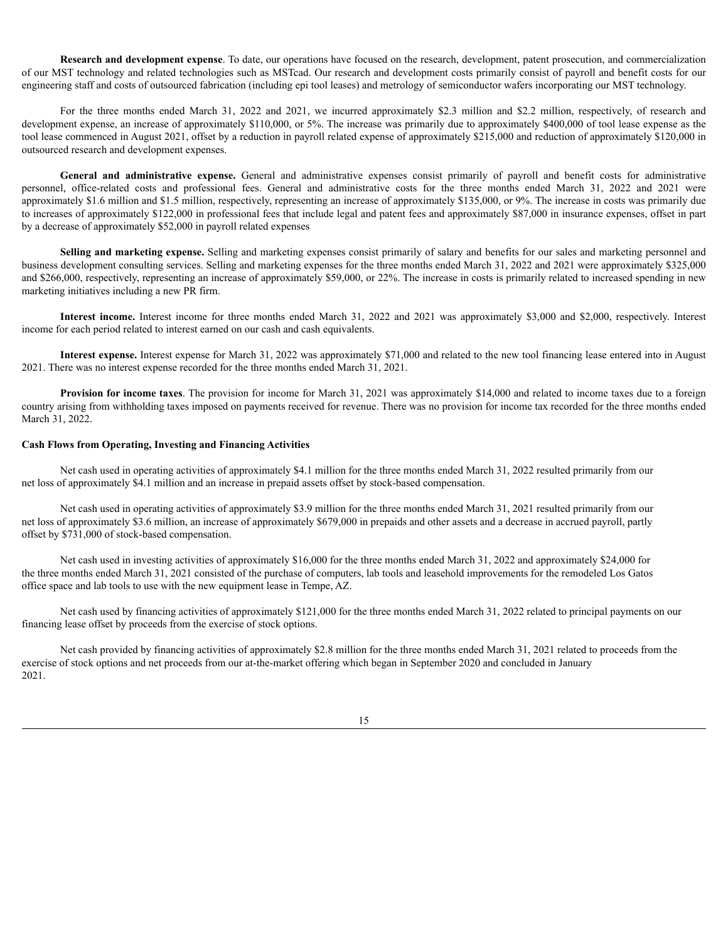**Research and development expense**. To date, our operations have focused on the research, development, patent prosecution, and commercialization of our MST technology and related technologies such as MSTcad. Our research and development costs primarily consist of payroll and benefit costs for our engineering staff and costs of outsourced fabrication (including epi tool leases) and metrology of semiconductor wafers incorporating our MST technology.

For the three months ended March 31, 2022 and 2021, we incurred approximately \$2.3 million and \$2.2 million, respectively, of research and development expense, an increase of approximately \$110,000, or 5%. The increase was primarily due to approximately \$400,000 of tool lease expense as the tool lease commenced in August 2021, offset by a reduction in payroll related expense of approximately \$215,000 and reduction of approximately \$120,000 in outsourced research and development expenses.

**General and administrative expense.** General and administrative expenses consist primarily of payroll and benefit costs for administrative personnel, office-related costs and professional fees. General and administrative costs for the three months ended March 31, 2022 and 2021 were approximately \$1.6 million and \$1.5 million, respectively, representing an increase of approximately \$135,000, or 9%. The increase in costs was primarily due to increases of approximately \$122,000 in professional fees that include legal and patent fees and approximately \$87,000 in insurance expenses, offset in part by a decrease of approximately \$52,000 in payroll related expenses

**Selling and marketing expense.** Selling and marketing expenses consist primarily of salary and benefits for our sales and marketing personnel and business development consulting services. Selling and marketing expenses for the three months ended March 31, 2022 and 2021 were approximately \$325,000 and \$266,000, respectively, representing an increase of approximately \$59,000, or 22%. The increase in costs is primarily related to increased spending in new marketing initiatives including a new PR firm.

**Interest income.** Interest income for three months ended March 31, 2022 and 2021 was approximately \$3,000 and \$2,000, respectively. Interest income for each period related to interest earned on our cash and cash equivalents.

**Interest expense.** Interest expense for March 31, 2022 was approximately \$71,000 and related to the new tool financing lease entered into in August 2021. There was no interest expense recorded for the three months ended March 31, 2021.

**Provision for income taxes**. The provision for income for March 31, 2021 was approximately \$14,000 and related to income taxes due to a foreign country arising from withholding taxes imposed on payments received for revenue. There was no provision for income tax recorded for the three months ended March 31, 2022.

### **Cash Flows from Operating, Investing and Financing Activities**

Net cash used in operating activities of approximately \$4.1 million for the three months ended March 31, 2022 resulted primarily from our net loss of approximately \$4.1 million and an increase in prepaid assets offset by stock-based compensation.

Net cash used in operating activities of approximately \$3.9 million for the three months ended March 31, 2021 resulted primarily from our net loss of approximately \$3.6 million, an increase of approximately \$679,000 in prepaids and other assets and a decrease in accrued payroll, partly offset by \$731,000 of stock-based compensation.

Net cash used in investing activities of approximately \$16,000 for the three months ended March 31, 2022 and approximately \$24,000 for the three months ended March 31, 2021 consisted of the purchase of computers, lab tools and leasehold improvements for the remodeled Los Gatos office space and lab tools to use with the new equipment lease in Tempe, AZ.

Net cash used by financing activities of approximately \$121,000 for the three months ended March 31, 2022 related to principal payments on our financing lease offset by proceeds from the exercise of stock options.

Net cash provided by financing activities of approximately \$2.8 million for the three months ended March 31, 2021 related to proceeds from the exercise of stock options and net proceeds from our at-the-market offering which began in September 2020 and concluded in January 2021.

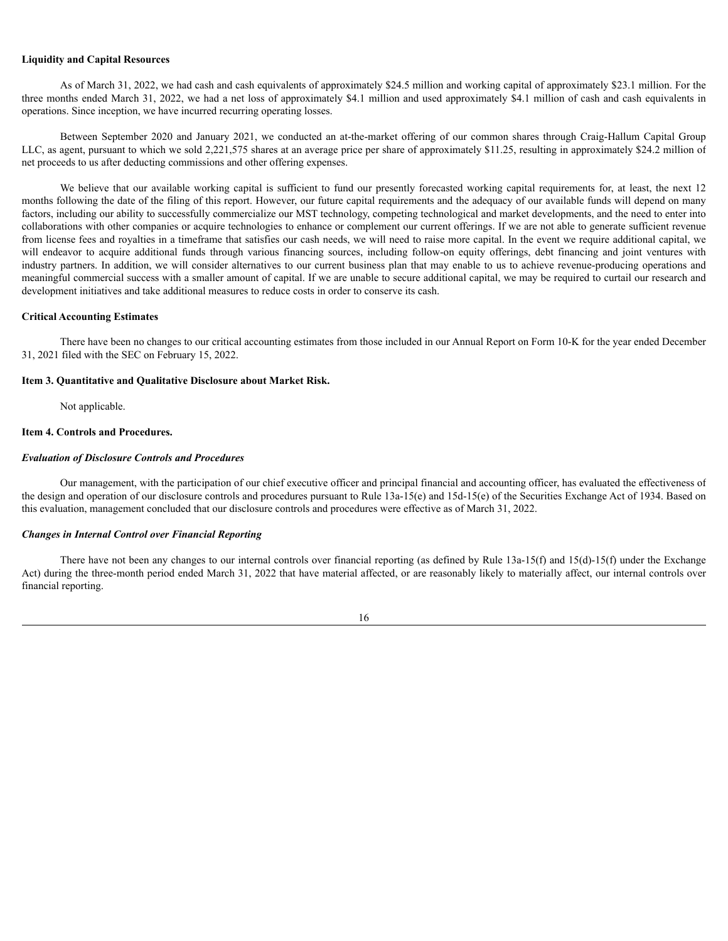#### **Liquidity and Capital Resources**

As of March 31, 2022, we had cash and cash equivalents of approximately \$24.5 million and working capital of approximately \$23.1 million. For the three months ended March 31, 2022, we had a net loss of approximately \$4.1 million and used approximately \$4.1 million of cash and cash equivalents in operations. Since inception, we have incurred recurring operating losses.

Between September 2020 and January 2021, we conducted an at-the-market offering of our common shares through Craig-Hallum Capital Group LLC, as agent, pursuant to which we sold 2,221,575 shares at an average price per share of approximately \$11.25, resulting in approximately \$24.2 million of net proceeds to us after deducting commissions and other offering expenses.

We believe that our available working capital is sufficient to fund our presently forecasted working capital requirements for, at least, the next 12 months following the date of the filing of this report. However, our future capital requirements and the adequacy of our available funds will depend on many factors, including our ability to successfully commercialize our MST technology, competing technological and market developments, and the need to enter into collaborations with other companies or acquire technologies to enhance or complement our current offerings. If we are not able to generate sufficient revenue from license fees and royalties in a timeframe that satisfies our cash needs, we will need to raise more capital. In the event we require additional capital, we will endeavor to acquire additional funds through various financing sources, including follow-on equity offerings, debt financing and joint ventures with industry partners. In addition, we will consider alternatives to our current business plan that may enable to us to achieve revenue-producing operations and meaningful commercial success with a smaller amount of capital. If we are unable to secure additional capital, we may be required to curtail our research and development initiatives and take additional measures to reduce costs in order to conserve its cash.

#### **Critical Accounting Estimates**

There have been no changes to our critical accounting estimates from those included in our Annual Report on Form 10-K for the year ended December 31, 2021 filed with the SEC on February 15, 2022.

#### <span id="page-15-0"></span>**Item 3. Quantitative and Qualitative Disclosure about Market Risk.**

Not applicable.

#### <span id="page-15-1"></span>**Item 4. Controls and Procedures.**

### *Evaluation of Disclosure Controls and Procedures*

Our management, with the participation of our chief executive officer and principal financial and accounting officer, has evaluated the effectiveness of the design and operation of our disclosure controls and procedures pursuant to Rule 13a-15(e) and 15d-15(e) of the Securities Exchange Act of 1934. Based on this evaluation, management concluded that our disclosure controls and procedures were effective as of March 31, 2022.

## *Changes in Internal Control over Financial Reporting*

There have not been any changes to our internal controls over financial reporting (as defined by Rule 13a-15(f) and 15(d)-15(f) under the Exchange Act) during the three-month period ended March 31, 2022 that have material affected, or are reasonably likely to materially affect, our internal controls over financial reporting.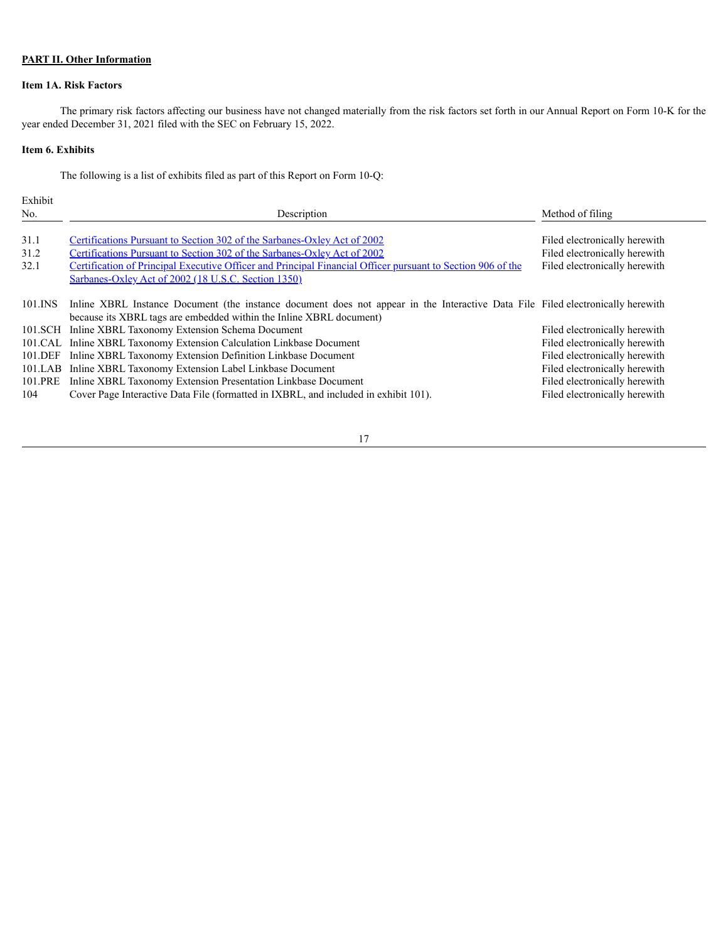# <span id="page-16-0"></span>**PART II. Other Information**

# <span id="page-16-1"></span>**Item 1A. Risk Factors**

The primary risk factors affecting our business have not changed materially from the risk factors set forth in our Annual Report on Form 10-K for the year ended December 31, 2021 filed with the SEC on February 15, 2022.

# <span id="page-16-2"></span>**Item 6. Exhibits**

The following is a list of exhibits filed as part of this Report on Form 10-Q:

| Exhibit<br>No.       | Description                                                                                                                                                                                                                                                                                                                | Method of filing                                                                                |
|----------------------|----------------------------------------------------------------------------------------------------------------------------------------------------------------------------------------------------------------------------------------------------------------------------------------------------------------------------|-------------------------------------------------------------------------------------------------|
| 31.1<br>31.2<br>32.1 | Certifications Pursuant to Section 302 of the Sarbanes-Oxley Act of 2002<br>Certifications Pursuant to Section 302 of the Sarbanes-Oxley Act of 2002<br>Certification of Principal Executive Officer and Principal Financial Officer pursuant to Section 906 of the<br>Sarbanes-Oxley Act of 2002 (18 U.S.C. Section 1350) | Filed electronically herewith<br>Filed electronically herewith<br>Filed electronically herewith |
| 101.INS              | Inline XBRL Instance Document (the instance document does not appear in the Interactive Data File Filed electronically herewith<br>because its XBRL tags are embedded within the Inline XBRL document)                                                                                                                     |                                                                                                 |
|                      | 101.SCH Inline XBRL Taxonomy Extension Schema Document                                                                                                                                                                                                                                                                     | Filed electronically herewith                                                                   |
|                      | 101.CAL Inline XBRL Taxonomy Extension Calculation Linkbase Document                                                                                                                                                                                                                                                       | Filed electronically herewith                                                                   |
| 101.DEF              | Inline XBRL Taxonomy Extension Definition Linkbase Document                                                                                                                                                                                                                                                                | Filed electronically herewith                                                                   |
| 101.LAB              | Inline XBRL Taxonomy Extension Label Linkbase Document                                                                                                                                                                                                                                                                     | Filed electronically herewith                                                                   |
| 101.PRE              | Inline XBRL Taxonomy Extension Presentation Linkbase Document                                                                                                                                                                                                                                                              | Filed electronically herewith                                                                   |
| 104                  | Cover Page Interactive Data File (formatted in IXBRL, and included in exhibit 101).                                                                                                                                                                                                                                        | Filed electronically herewith                                                                   |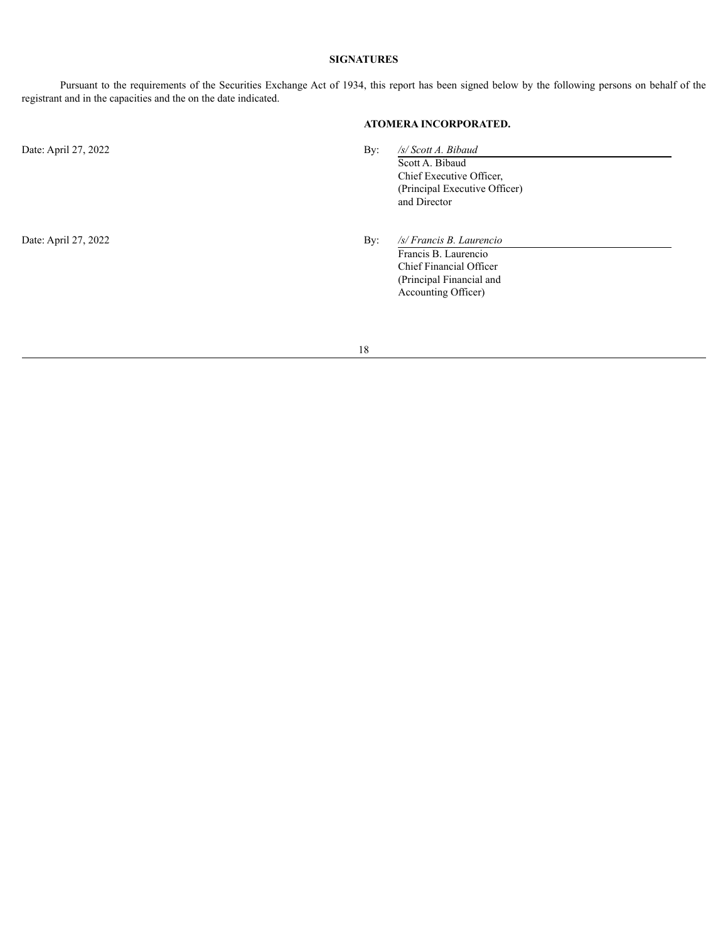## <span id="page-17-0"></span>**SIGNATURES**

Pursuant to the requirements of the Securities Exchange Act of 1934, this report has been signed below by the following persons on behalf of the registrant and in the capacities and the on the date indicated.

# **ATOMERA INCORPORATED.**

Date: April 27, 2022 By: */s/ Scott A. Bibaud*

Scott A. Bibaud Chief Executive Officer, (Principal Executive Officer) and Director

Date: April 27, 2022 By: */s/ Francis B. Laurencio* Francis B. Laurencio Chief Financial Officer (Principal Financial and Accounting Officer)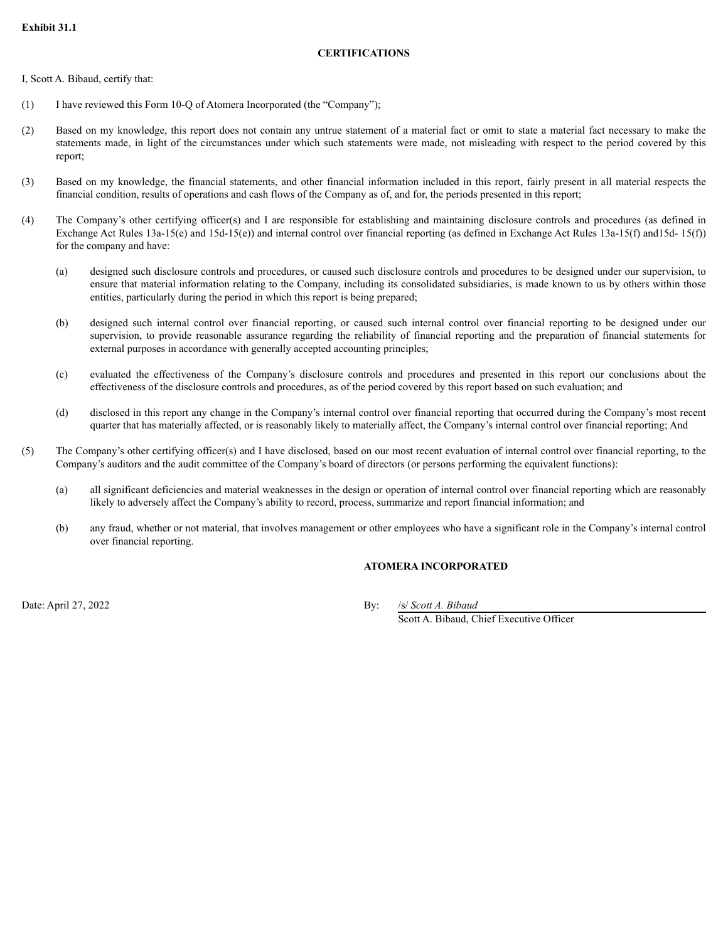# **CERTIFICATIONS**

<span id="page-18-0"></span>I, Scott A. Bibaud, certify that:

- (1) I have reviewed this Form 10-Q of Atomera Incorporated (the "Company");
- (2) Based on my knowledge, this report does not contain any untrue statement of a material fact or omit to state a material fact necessary to make the statements made, in light of the circumstances under which such statements were made, not misleading with respect to the period covered by this report;
- (3) Based on my knowledge, the financial statements, and other financial information included in this report, fairly present in all material respects the financial condition, results of operations and cash flows of the Company as of, and for, the periods presented in this report;
- (4) The Company's other certifying officer(s) and I are responsible for establishing and maintaining disclosure controls and procedures (as defined in Exchange Act Rules 13a-15(e) and 15d-15(e)) and internal control over financial reporting (as defined in Exchange Act Rules 13a-15(f) and15d- 15(f)) for the company and have:
	- (a) designed such disclosure controls and procedures, or caused such disclosure controls and procedures to be designed under our supervision, to ensure that material information relating to the Company, including its consolidated subsidiaries, is made known to us by others within those entities, particularly during the period in which this report is being prepared;
	- (b) designed such internal control over financial reporting, or caused such internal control over financial reporting to be designed under our supervision, to provide reasonable assurance regarding the reliability of financial reporting and the preparation of financial statements for external purposes in accordance with generally accepted accounting principles;
	- (c) evaluated the effectiveness of the Company's disclosure controls and procedures and presented in this report our conclusions about the effectiveness of the disclosure controls and procedures, as of the period covered by this report based on such evaluation; and
	- (d) disclosed in this report any change in the Company's internal control over financial reporting that occurred during the Company's most recent quarter that has materially affected, or is reasonably likely to materially affect, the Company's internal control over financial reporting; And
- (5) The Company's other certifying officer(s) and I have disclosed, based on our most recent evaluation of internal control over financial reporting, to the Company's auditors and the audit committee of the Company's board of directors (or persons performing the equivalent functions):
	- (a) all significant deficiencies and material weaknesses in the design or operation of internal control over financial reporting which are reasonably likely to adversely affect the Company's ability to record, process, summarize and report financial information; and
	- (b) any fraud, whether or not material, that involves management or other employees who have a significant role in the Company's internal control over financial reporting.

# **ATOMERA INCORPORATED**

Date: April 27, 2022 By: /s/ *Scott A. Bibaud* Scott A. Bibaud, Chief Executive Officer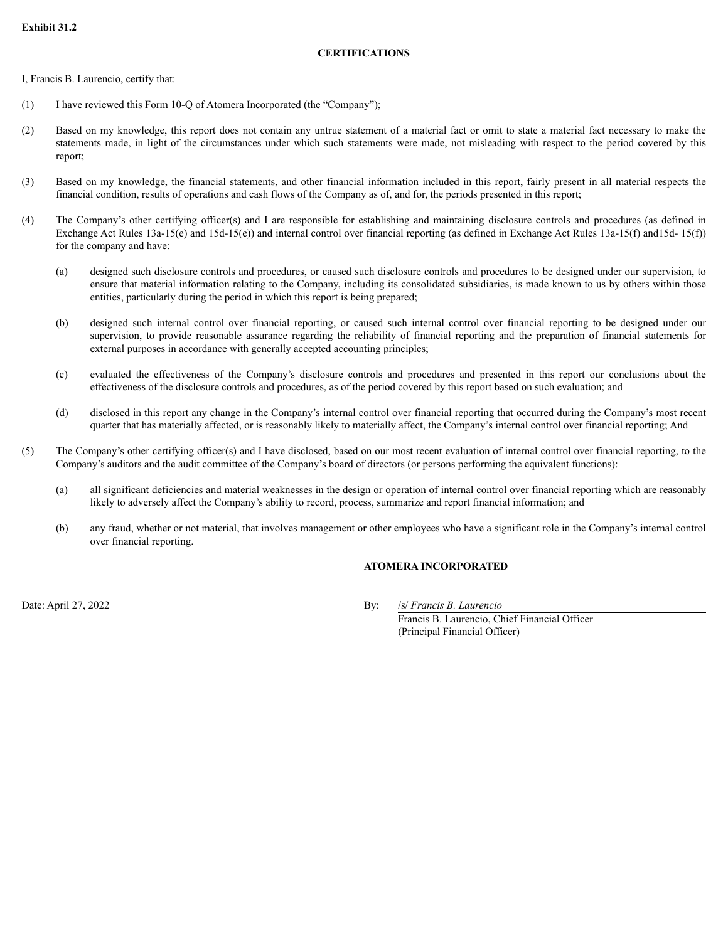# **CERTIFICATIONS**

<span id="page-19-0"></span>I, Francis B. Laurencio, certify that:

- (1) I have reviewed this Form 10-Q of Atomera Incorporated (the "Company");
- (2) Based on my knowledge, this report does not contain any untrue statement of a material fact or omit to state a material fact necessary to make the statements made, in light of the circumstances under which such statements were made, not misleading with respect to the period covered by this report;
- (3) Based on my knowledge, the financial statements, and other financial information included in this report, fairly present in all material respects the financial condition, results of operations and cash flows of the Company as of, and for, the periods presented in this report;
- (4) The Company's other certifying officer(s) and I are responsible for establishing and maintaining disclosure controls and procedures (as defined in Exchange Act Rules 13a-15(e) and 15d-15(e)) and internal control over financial reporting (as defined in Exchange Act Rules 13a-15(f) and15d- 15(f)) for the company and have:
	- (a) designed such disclosure controls and procedures, or caused such disclosure controls and procedures to be designed under our supervision, to ensure that material information relating to the Company, including its consolidated subsidiaries, is made known to us by others within those entities, particularly during the period in which this report is being prepared;
	- (b) designed such internal control over financial reporting, or caused such internal control over financial reporting to be designed under our supervision, to provide reasonable assurance regarding the reliability of financial reporting and the preparation of financial statements for external purposes in accordance with generally accepted accounting principles;
	- (c) evaluated the effectiveness of the Company's disclosure controls and procedures and presented in this report our conclusions about the effectiveness of the disclosure controls and procedures, as of the period covered by this report based on such evaluation; and
	- (d) disclosed in this report any change in the Company's internal control over financial reporting that occurred during the Company's most recent quarter that has materially affected, or is reasonably likely to materially affect, the Company's internal control over financial reporting; And
- (5) The Company's other certifying officer(s) and I have disclosed, based on our most recent evaluation of internal control over financial reporting, to the Company's auditors and the audit committee of the Company's board of directors (or persons performing the equivalent functions):
	- (a) all significant deficiencies and material weaknesses in the design or operation of internal control over financial reporting which are reasonably likely to adversely affect the Company's ability to record, process, summarize and report financial information; and
	- (b) any fraud, whether or not material, that involves management or other employees who have a significant role in the Company's internal control over financial reporting.

# **ATOMERA INCORPORATED**

Date: April 27, 2022 By: /s/ *Francis B. Laurencio* Francis B. Laurencio, Chief Financial Officer (Principal Financial Officer)